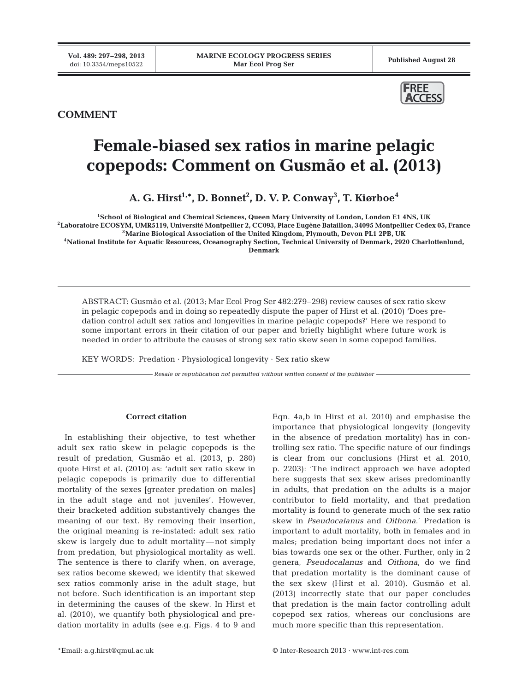

## **COMMENT**

# **Female-biased sex ratios in marine pelagic copepods: Comment on Gusmão et al. (2013)**

**A. G. Hirst1,\*, D. Bonnet2 , D. V. P. Conway3 , T. Kiørboe4**

**1School of Biological and Chemical Sciences, Queen Mary University of London, London E1 4NS, UK 2Laboratoire ECOSYM, UMR5119, Université Montpellier 2, CC093, Place Eugène Bataillon, 34095 Montpellier Cedex 05, France 3Marine Biological Association of the United Kingdom, Plymouth, Devon PL1 2PB, UK 4National Institute for Aquatic Resources, Oceanography Section, Technical University of Denmark, 2920 Charlottenlund, Denmark**

ABSTRACT: Gusmão et al. (2013; Mar Ecol Prog Ser 482:279−298) review causes of sex ratio skew in pelagic copepods and in doing so repeatedly dispute the paper of Hirst et al. (2010) 'Does predation control adult sex ratios and longevities in marine pelagic copepods?' Here we respond to some important errors in their citation of our paper and briefly highlight where future work is needed in order to attribute the causes of strong sex ratio skew seen in some copepod families.

KEY WORDS: Predation · Physiological longevity · Sex ratio skew

*Resale or republication not permitted without written consent of the publisher*

#### **Correct citation**

In establishing their objective, to test whether adult sex ratio skew in pelagic copepods is the result of predation, Gusmão et al. (2013, p. 280) quote Hirst et al. (2010) as: 'adult sex ratio skew in pelagic copepods is primarily due to differential mortality of the sexes [greater predation on males] in the adult stage and not juveniles'. However, their bracketed addition substantively changes the meaning of our text. By removing their insertion, the original meaning is re-instated: adult sex ratio skew is largely due to adult mortality—not simply from predation, but physiological mortality as well. The sentence is there to clarify when, on average, sex ratios become skewed; we identify that skewed sex ratios commonly arise in the adult stage, but not before. Such identification is an important step in determining the causes of the skew. In Hirst et al. (2010), we quantify both physiological and predation mortality in adults (see e.g. Figs. 4 to 9 and

Eqn. 4a,b in Hirst et al. 2010) and emphasise the importance that physiological longevity (longevity in the absence of predation mortality) has in controlling sex ratio. The specific nature of our findings is clear from our conclusions (Hirst et al. 2010, p. 2203): 'The indirect approach we have adopted here suggests that sex skew arises predominantly in adults, that predation on the adults is a major contributor to field mortality, and that predation mortality is found to generate much of the sex ratio skew in *Pseudocalanus* and *Oithona*.' Predation is important to adult mortality, both in females and in males; predation being important does not infer a bias towards one sex or the other. Further, only in 2 genera, *Pseudocalanus* and *Oithona*, do we find that predation mortality is the dominant cause of the sex skew (Hirst et al. 2010). Gusmão et al. (2013) incorrectly state that our paper concludes that predation is the main factor controlling adult copepod sex ratios, whereas our conclusions are much more specific than this representation.